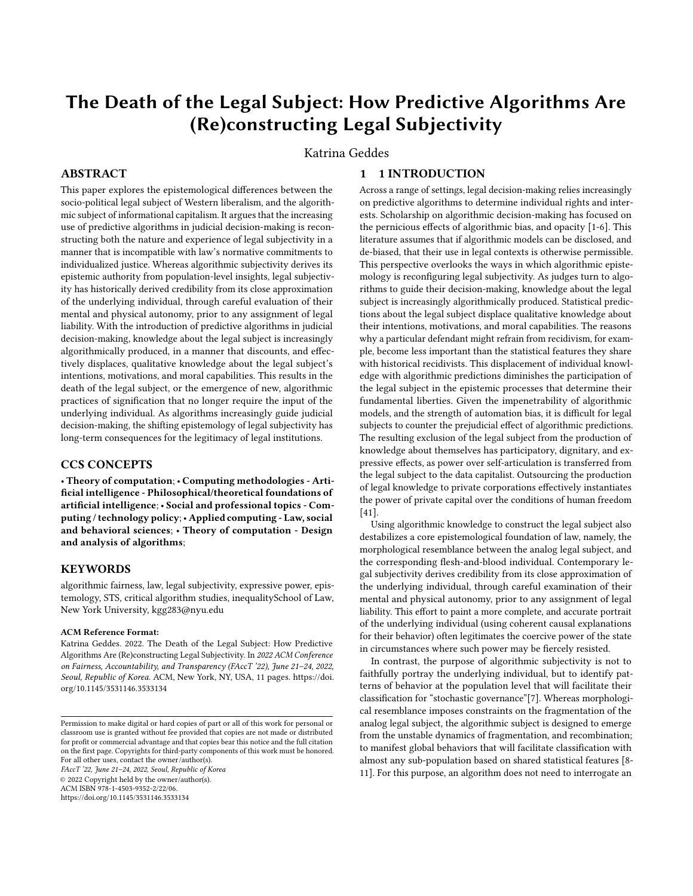# The Death of the Legal Subject: How Predictive Algorithms Are (Re)constructing Legal Subjectivity

Katrina Geddes

## ABSTRACT

This paper explores the epistemological differences between the socio-political legal subject of Western liberalism, and the algorithmic subject of informational capitalism. It argues that the increasing use of predictive algorithms in judicial decision-making is reconstructing both the nature and experience of legal subjectivity in a manner that is incompatible with law's normative commitments to individualized justice. Whereas algorithmic subjectivity derives its epistemic authority from population-level insights, legal subjectivity has historically derived credibility from its close approximation of the underlying individual, through careful evaluation of their mental and physical autonomy, prior to any assignment of legal liability. With the introduction of predictive algorithms in judicial decision-making, knowledge about the legal subject is increasingly algorithmically produced, in a manner that discounts, and effectively displaces, qualitative knowledge about the legal subject's intentions, motivations, and moral capabilities. This results in the death of the legal subject, or the emergence of new, algorithmic practices of signification that no longer require the input of the underlying individual. As algorithms increasingly guide judicial decision-making, the shifting epistemology of legal subjectivity has long-term consequences for the legitimacy of legal institutions.

## CCS CONCEPTS

• Theory of computation; • Computing methodologies - Artificial intelligence - Philosophical/theoretical foundations of artificial intelligence; • Social and professional topics - Computing / technology policy;• Applied computing - Law, social and behavioral sciences; • Theory of computation - Design and analysis of algorithms;

## **KEYWORDS**

algorithmic fairness, law, legal subjectivity, expressive power, epistemology, STS, critical algorithm studies, inequalitySchool of Law, New York University, kgg283@nyu.edu

#### ACM Reference Format:

Katrina Geddes. 2022. The Death of the Legal Subject: How Predictive Algorithms Are (Re)constructing Legal Subjectivity. In 2022 ACM Conference on Fairness, Accountability, and Transparency (FAccT '22), June 21–24, 2022, Seoul, Republic of Korea. ACM, New York, NY, USA, [11](#page-10-0) pages. [https://doi.](https://doi.org/10.1145/3531146.3533134) [org/10.1145/3531146.3533134](https://doi.org/10.1145/3531146.3533134)

FAccT '22, June 21–24, 2022, Seoul, Republic of Korea © 2022 Copyright held by the owner/author(s). ACM ISBN 978-1-4503-9352-2/22/06. <https://doi.org/10.1145/3531146.3533134>

## 1 1 INTRODUCTION

Across a range of settings, legal decision-making relies increasingly on predictive algorithms to determine individual rights and interests. Scholarship on algorithmic decision-making has focused on the pernicious effects of algorithmic bias, and opacity [\[1](#page-9-0)[-6\]](#page-9-1). This literature assumes that if algorithmic models can be disclosed, and de-biased, that their use in legal contexts is otherwise permissible. This perspective overlooks the ways in which algorithmic epistemology is reconfiguring legal subjectivity. As judges turn to algorithms to guide their decision-making, knowledge about the legal subject is increasingly algorithmically produced. Statistical predictions about the legal subject displace qualitative knowledge about their intentions, motivations, and moral capabilities. The reasons why a particular defendant might refrain from recidivism, for example, become less important than the statistical features they share with historical recidivists. This displacement of individual knowledge with algorithmic predictions diminishes the participation of the legal subject in the epistemic processes that determine their fundamental liberties. Given the impenetrability of algorithmic models, and the strength of automation bias, it is difficult for legal subjects to counter the prejudicial effect of algorithmic predictions. The resulting exclusion of the legal subject from the production of knowledge about themselves has participatory, dignitary, and expressive effects, as power over self-articulation is transferred from the legal subject to the data capitalist. Outsourcing the production of legal knowledge to private corporations effectively instantiates the power of private capital over the conditions of human freedom [\[41\]](#page-9-2).

Using algorithmic knowledge to construct the legal subject also destabilizes a core epistemological foundation of law, namely, the morphological resemblance between the analog legal subject, and the corresponding flesh-and-blood individual. Contemporary legal subjectivity derives credibility from its close approximation of the underlying individual, through careful examination of their mental and physical autonomy, prior to any assignment of legal liability. This effort to paint a more complete, and accurate portrait of the underlying individual (using coherent causal explanations for their behavior) often legitimates the coercive power of the state in circumstances where such power may be fiercely resisted.

In contrast, the purpose of algorithmic subjectivity is not to faithfully portray the underlying individual, but to identify patterns of behavior at the population level that will facilitate their classification for "stochastic governance"[7]. Whereas morphological resemblance imposes constraints on the fragmentation of the analog legal subject, the algorithmic subject is designed to emerge from the unstable dynamics of fragmentation, and recombination; to manifest global behaviors that will facilitate classification with almost any sub-population based on shared statistical features [\[8-](#page-9-3) [11\]](#page-9-4). For this purpose, an algorithm does not need to interrogate an

Permission to make digital or hard copies of part or all of this work for personal or classroom use is granted without fee provided that copies are not made or distributed for profit or commercial advantage and that copies bear this notice and the full citation on the first page. Copyrights for third-party components of this work must be honored. For all other uses, contact the owner/author(s).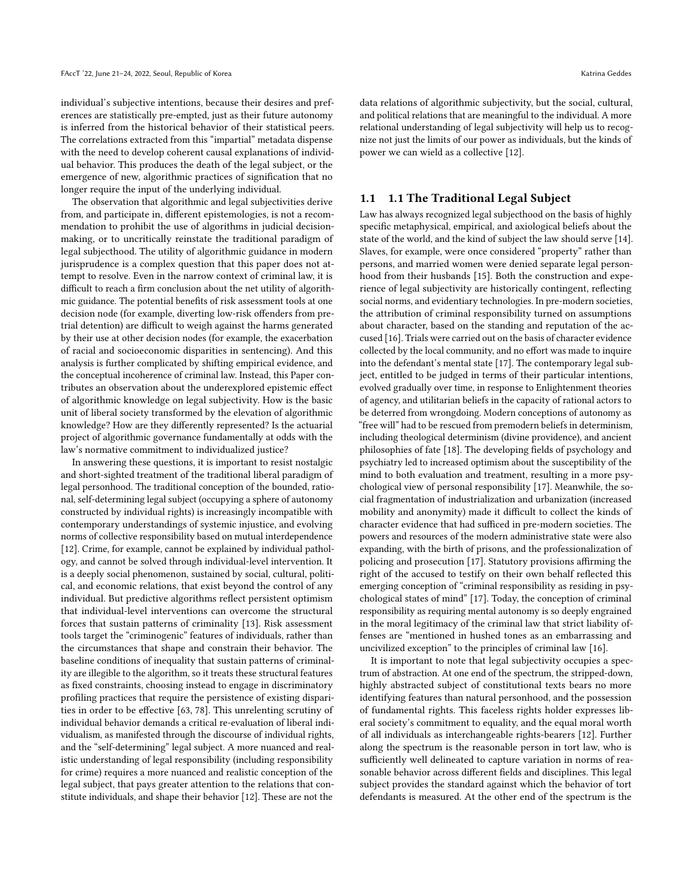individual's subjective intentions, because their desires and preferences are statistically pre-empted, just as their future autonomy is inferred from the historical behavior of their statistical peers. The correlations extracted from this "impartial" metadata dispense with the need to develop coherent causal explanations of individual behavior. This produces the death of the legal subject, or the emergence of new, algorithmic practices of signification that no longer require the input of the underlying individual.

The observation that algorithmic and legal subjectivities derive from, and participate in, different epistemologies, is not a recommendation to prohibit the use of algorithms in judicial decisionmaking, or to uncritically reinstate the traditional paradigm of legal subjecthood. The utility of algorithmic guidance in modern jurisprudence is a complex question that this paper does not attempt to resolve. Even in the narrow context of criminal law, it is difficult to reach a firm conclusion about the net utility of algorithmic guidance. The potential benefits of risk assessment tools at one decision node (for example, diverting low-risk offenders from pretrial detention) are difficult to weigh against the harms generated by their use at other decision nodes (for example, the exacerbation of racial and socioeconomic disparities in sentencing). And this analysis is further complicated by shifting empirical evidence, and the conceptual incoherence of criminal law. Instead, this Paper contributes an observation about the underexplored epistemic effect of algorithmic knowledge on legal subjectivity. How is the basic unit of liberal society transformed by the elevation of algorithmic knowledge? How are they differently represented? Is the actuarial project of algorithmic governance fundamentally at odds with the law's normative commitment to individualized justice?

In answering these questions, it is important to resist nostalgic and short-sighted treatment of the traditional liberal paradigm of legal personhood. The traditional conception of the bounded, rational, self-determining legal subject (occupying a sphere of autonomy constructed by individual rights) is increasingly incompatible with contemporary understandings of systemic injustice, and evolving norms of collective responsibility based on mutual interdependence [\[12\]](#page-9-5). Crime, for example, cannot be explained by individual pathology, and cannot be solved through individual-level intervention. It is a deeply social phenomenon, sustained by social, cultural, political, and economic relations, that exist beyond the control of any individual. But predictive algorithms reflect persistent optimism that individual-level interventions can overcome the structural forces that sustain patterns of criminality [\[13\]](#page-9-6). Risk assessment tools target the "criminogenic" features of individuals, rather than the circumstances that shape and constrain their behavior. The baseline conditions of inequality that sustain patterns of criminality are illegible to the algorithm, so it treats these structural features as fixed constraints, choosing instead to engage in discriminatory profiling practices that require the persistence of existing disparities in order to be effective [\[63,](#page-10-1) [78\]](#page-10-2). This unrelenting scrutiny of individual behavior demands a critical re-evaluation of liberal individualism, as manifested through the discourse of individual rights, and the "self-determining" legal subject. A more nuanced and realistic understanding of legal responsibility (including responsibility for crime) requires a more nuanced and realistic conception of the legal subject, that pays greater attention to the relations that constitute individuals, and shape their behavior [\[12\]](#page-9-5). These are not the

data relations of algorithmic subjectivity, but the social, cultural, and political relations that are meaningful to the individual. A more relational understanding of legal subjectivity will help us to recognize not just the limits of our power as individuals, but the kinds of power we can wield as a collective [\[12\]](#page-9-5).

### 1.1 1.1 The Traditional Legal Subject

Law has always recognized legal subjecthood on the basis of highly specific metaphysical, empirical, and axiological beliefs about the state of the world, and the kind of subject the law should serve [\[14\]](#page-9-7). Slaves, for example, were once considered "property" rather than persons, and married women were denied separate legal personhood from their husbands [\[15\]](#page-9-8). Both the construction and experience of legal subjectivity are historically contingent, reflecting social norms, and evidentiary technologies. In pre-modern societies, the attribution of criminal responsibility turned on assumptions about character, based on the standing and reputation of the accused [\[16\]](#page-9-9). Trials were carried out on the basis of character evidence collected by the local community, and no effort was made to inquire into the defendant's mental state [\[17\]](#page-9-10). The contemporary legal subject, entitled to be judged in terms of their particular intentions, evolved gradually over time, in response to Enlightenment theories of agency, and utilitarian beliefs in the capacity of rational actors to be deterred from wrongdoing. Modern conceptions of autonomy as "free will" had to be rescued from premodern beliefs in determinism, including theological determinism (divine providence), and ancient philosophies of fate [\[18\]](#page-9-11). The developing fields of psychology and psychiatry led to increased optimism about the susceptibility of the mind to both evaluation and treatment, resulting in a more psychological view of personal responsibility [\[17\]](#page-9-10). Meanwhile, the social fragmentation of industrialization and urbanization (increased mobility and anonymity) made it difficult to collect the kinds of character evidence that had sufficed in pre-modern societies. The powers and resources of the modern administrative state were also expanding, with the birth of prisons, and the professionalization of policing and prosecution [\[17\]](#page-9-10). Statutory provisions affirming the right of the accused to testify on their own behalf reflected this emerging conception of "criminal responsibility as residing in psychological states of mind" [\[17\]](#page-9-10). Today, the conception of criminal responsibility as requiring mental autonomy is so deeply engrained in the moral legitimacy of the criminal law that strict liability offenses are "mentioned in hushed tones as an embarrassing and uncivilized exception" to the principles of criminal law [\[16\]](#page-9-9).

It is important to note that legal subjectivity occupies a spectrum of abstraction. At one end of the spectrum, the stripped-down, highly abstracted subject of constitutional texts bears no more identifying features than natural personhood, and the possession of fundamental rights. This faceless rights holder expresses liberal society's commitment to equality, and the equal moral worth of all individuals as interchangeable rights-bearers [\[12\]](#page-9-5). Further along the spectrum is the reasonable person in tort law, who is sufficiently well delineated to capture variation in norms of reasonable behavior across different fields and disciplines. This legal subject provides the standard against which the behavior of tort defendants is measured. At the other end of the spectrum is the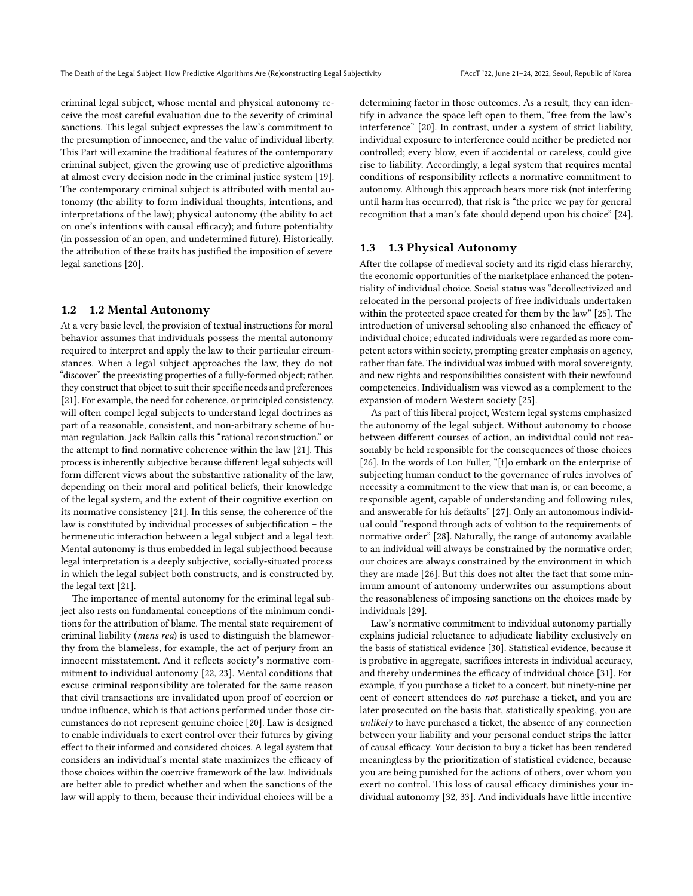criminal legal subject, whose mental and physical autonomy receive the most careful evaluation due to the severity of criminal sanctions. This legal subject expresses the law's commitment to the presumption of innocence, and the value of individual liberty. This Part will examine the traditional features of the contemporary criminal subject, given the growing use of predictive algorithms at almost every decision node in the criminal justice system [\[19\]](#page-9-12). The contemporary criminal subject is attributed with mental autonomy (the ability to form individual thoughts, intentions, and interpretations of the law); physical autonomy (the ability to act on one's intentions with causal efficacy); and future potentiality (in possession of an open, and undetermined future). Historically, the attribution of these traits has justified the imposition of severe legal sanctions [\[20\]](#page-9-13).

## 1.2 1.2 Mental Autonomy

At a very basic level, the provision of textual instructions for moral behavior assumes that individuals possess the mental autonomy required to interpret and apply the law to their particular circumstances. When a legal subject approaches the law, they do not "discover" the preexisting properties of a fully-formed object; rather, they construct that object to suit their specific needs and preferences [\[21\]](#page-9-14). For example, the need for coherence, or principled consistency, will often compel legal subjects to understand legal doctrines as part of a reasonable, consistent, and non-arbitrary scheme of human regulation. Jack Balkin calls this "rational reconstruction," or the attempt to find normative coherence within the law [\[21\]](#page-9-14). This process is inherently subjective because different legal subjects will form different views about the substantive rationality of the law, depending on their moral and political beliefs, their knowledge of the legal system, and the extent of their cognitive exertion on its normative consistency [\[21\]](#page-9-14). In this sense, the coherence of the law is constituted by individual processes of subjectification – the hermeneutic interaction between a legal subject and a legal text. Mental autonomy is thus embedded in legal subjecthood because legal interpretation is a deeply subjective, socially-situated process in which the legal subject both constructs, and is constructed by, the legal text [\[21\]](#page-9-14).

The importance of mental autonomy for the criminal legal subject also rests on fundamental conceptions of the minimum conditions for the attribution of blame. The mental state requirement of criminal liability (mens rea) is used to distinguish the blameworthy from the blameless, for example, the act of perjury from an innocent misstatement. And it reflects society's normative commitment to individual autonomy [\[22,](#page-9-15) [23\]](#page-9-16). Mental conditions that excuse criminal responsibility are tolerated for the same reason that civil transactions are invalidated upon proof of coercion or undue influence, which is that actions performed under those circumstances do not represent genuine choice [\[20\]](#page-9-13). Law is designed to enable individuals to exert control over their futures by giving effect to their informed and considered choices. A legal system that considers an individual's mental state maximizes the efficacy of those choices within the coercive framework of the law. Individuals are better able to predict whether and when the sanctions of the law will apply to them, because their individual choices will be a

determining factor in those outcomes. As a result, they can identify in advance the space left open to them, "free from the law's interference" [\[20\]](#page-9-13). In contrast, under a system of strict liability, individual exposure to interference could neither be predicted nor controlled; every blow, even if accidental or careless, could give rise to liability. Accordingly, a legal system that requires mental conditions of responsibility reflects a normative commitment to autonomy. Although this approach bears more risk (not interfering until harm has occurred), that risk is "the price we pay for general recognition that a man's fate should depend upon his choice" [\[24\]](#page-9-17).

## 1.3 1.3 Physical Autonomy

After the collapse of medieval society and its rigid class hierarchy, the economic opportunities of the marketplace enhanced the potentiality of individual choice. Social status was "decollectivized and relocated in the personal projects of free individuals undertaken within the protected space created for them by the law" [\[25\]](#page-9-18). The introduction of universal schooling also enhanced the efficacy of individual choice; educated individuals were regarded as more competent actors within society, prompting greater emphasis on agency, rather than fate. The individual was imbued with moral sovereignty, and new rights and responsibilities consistent with their newfound competencies. Individualism was viewed as a complement to the expansion of modern Western society [\[25\]](#page-9-18).

As part of this liberal project, Western legal systems emphasized the autonomy of the legal subject. Without autonomy to choose between different courses of action, an individual could not reasonably be held responsible for the consequences of those choices [\[26\]](#page-9-19). In the words of Lon Fuller, "[t]o embark on the enterprise of subjecting human conduct to the governance of rules involves of necessity a commitment to the view that man is, or can become, a responsible agent, capable of understanding and following rules, and answerable for his defaults" [\[27\]](#page-9-20). Only an autonomous individual could "respond through acts of volition to the requirements of normative order" [\[28\]](#page-9-21). Naturally, the range of autonomy available to an individual will always be constrained by the normative order; our choices are always constrained by the environment in which they are made [\[26\]](#page-9-19). But this does not alter the fact that some minimum amount of autonomy underwrites our assumptions about the reasonableness of imposing sanctions on the choices made by individuals [\[29\]](#page-9-22).

Law's normative commitment to individual autonomy partially explains judicial reluctance to adjudicate liability exclusively on the basis of statistical evidence [\[30\]](#page-9-23). Statistical evidence, because it is probative in aggregate, sacrifices interests in individual accuracy, and thereby undermines the efficacy of individual choice [\[31\]](#page-9-24). For example, if you purchase a ticket to a concert, but ninety-nine per cent of concert attendees do not purchase a ticket, and you are later prosecuted on the basis that, statistically speaking, you are unlikely to have purchased a ticket, the absence of any connection between your liability and your personal conduct strips the latter of causal efficacy. Your decision to buy a ticket has been rendered meaningless by the prioritization of statistical evidence, because you are being punished for the actions of others, over whom you exert no control. This loss of causal efficacy diminishes your individual autonomy [\[32,](#page-9-25) [33\]](#page-9-26). And individuals have little incentive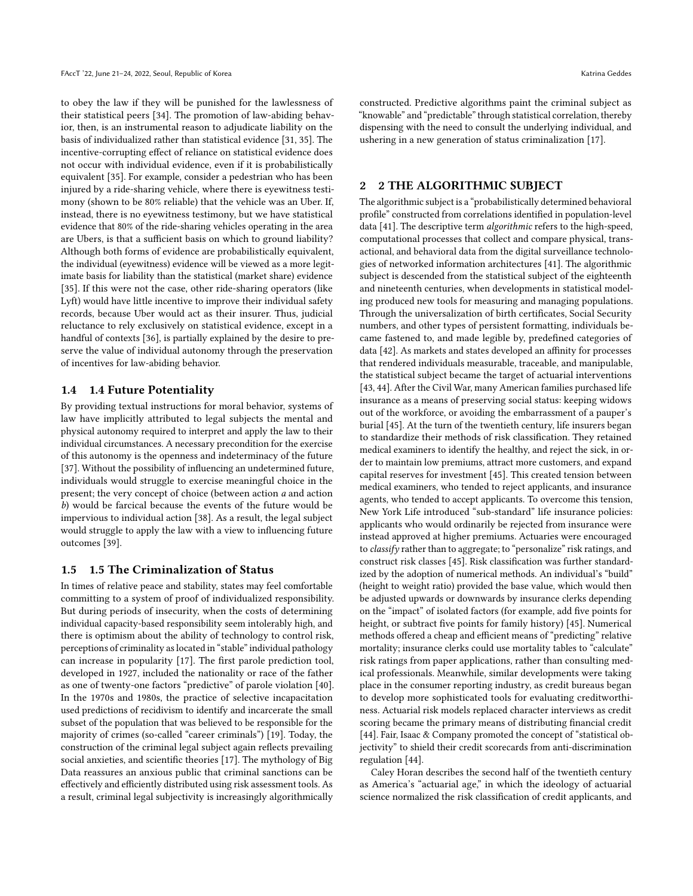to obey the law if they will be punished for the lawlessness of their statistical peers [\[34\]](#page-9-27). The promotion of law-abiding behavior, then, is an instrumental reason to adjudicate liability on the basis of individualized rather than statistical evidence [\[31,](#page-9-24) [35\]](#page-9-28). The incentive-corrupting effect of reliance on statistical evidence does not occur with individual evidence, even if it is probabilistically equivalent [\[35\]](#page-9-28). For example, consider a pedestrian who has been injured by a ride-sharing vehicle, where there is eyewitness testimony (shown to be 80% reliable) that the vehicle was an Uber. If, instead, there is no eyewitness testimony, but we have statistical evidence that 80% of the ride-sharing vehicles operating in the area are Ubers, is that a sufficient basis on which to ground liability? Although both forms of evidence are probabilistically equivalent, the individual (eyewitness) evidence will be viewed as a more legitimate basis for liability than the statistical (market share) evidence [\[35\]](#page-9-28). If this were not the case, other ride-sharing operators (like Lyft) would have little incentive to improve their individual safety records, because Uber would act as their insurer. Thus, judicial reluctance to rely exclusively on statistical evidence, except in a handful of contexts [\[36\]](#page-9-29), is partially explained by the desire to preserve the value of individual autonomy through the preservation of incentives for law-abiding behavior.

## 1.4 1.4 Future Potentiality

By providing textual instructions for moral behavior, systems of law have implicitly attributed to legal subjects the mental and physical autonomy required to interpret and apply the law to their individual circumstances. A necessary precondition for the exercise of this autonomy is the openness and indeterminacy of the future [\[37\]](#page-9-30). Without the possibility of influencing an undetermined future, individuals would struggle to exercise meaningful choice in the present; the very concept of choice (between action a and action b) would be farcical because the events of the future would be impervious to individual action [\[38\]](#page-9-31). As a result, the legal subject would struggle to apply the law with a view to influencing future outcomes [\[39\]](#page-9-32).

## 1.5 1.5 The Criminalization of Status

In times of relative peace and stability, states may feel comfortable committing to a system of proof of individualized responsibility. But during periods of insecurity, when the costs of determining individual capacity-based responsibility seem intolerably high, and there is optimism about the ability of technology to control risk, perceptions of criminality as located in "stable" individual pathology can increase in popularity [\[17\]](#page-9-10). The first parole prediction tool, developed in 1927, included the nationality or race of the father as one of twenty-one factors "predictive" of parole violation [\[40\]](#page-9-33). In the 1970s and 1980s, the practice of selective incapacitation used predictions of recidivism to identify and incarcerate the small subset of the population that was believed to be responsible for the majority of crimes (so-called "career criminals") [\[19\]](#page-9-12). Today, the construction of the criminal legal subject again reflects prevailing social anxieties, and scientific theories [\[17\]](#page-9-10). The mythology of Big Data reassures an anxious public that criminal sanctions can be effectively and efficiently distributed using risk assessment tools. As a result, criminal legal subjectivity is increasingly algorithmically

constructed. Predictive algorithms paint the criminal subject as "knowable" and "predictable" through statistical correlation, thereby dispensing with the need to consult the underlying individual, and ushering in a new generation of status criminalization [\[17\]](#page-9-10).

## 2 2 THE ALGORITHMIC SUBJECT

The algorithmic subject is a "probabilistically determined behavioral profile" constructed from correlations identified in population-level data [\[41\]](#page-9-2). The descriptive term algorithmic refers to the high-speed, computational processes that collect and compare physical, transactional, and behavioral data from the digital surveillance technologies of networked information architectures [\[41\]](#page-9-2). The algorithmic subject is descended from the statistical subject of the eighteenth and nineteenth centuries, when developments in statistical modeling produced new tools for measuring and managing populations. Through the universalization of birth certificates, Social Security numbers, and other types of persistent formatting, individuals became fastened to, and made legible by, predefined categories of data [\[42\]](#page-9-34). As markets and states developed an affinity for processes that rendered individuals measurable, traceable, and manipulable, the statistical subject became the target of actuarial interventions [\[43,](#page-9-35) [44\]](#page-9-36). After the Civil War, many American families purchased life insurance as a means of preserving social status: keeping widows out of the workforce, or avoiding the embarrassment of a pauper's burial [\[45\]](#page-9-37). At the turn of the twentieth century, life insurers began to standardize their methods of risk classification. They retained medical examiners to identify the healthy, and reject the sick, in order to maintain low premiums, attract more customers, and expand capital reserves for investment [\[45\]](#page-9-37). This created tension between medical examiners, who tended to reject applicants, and insurance agents, who tended to accept applicants. To overcome this tension, New York Life introduced "sub-standard" life insurance policies: applicants who would ordinarily be rejected from insurance were instead approved at higher premiums. Actuaries were encouraged to classify rather than to aggregate; to "personalize" risk ratings, and construct risk classes [\[45\]](#page-9-37). Risk classification was further standardized by the adoption of numerical methods. An individual's "build" (height to weight ratio) provided the base value, which would then be adjusted upwards or downwards by insurance clerks depending on the "impact" of isolated factors (for example, add five points for height, or subtract five points for family history) [\[45\]](#page-9-37). Numerical methods offered a cheap and efficient means of "predicting" relative mortality; insurance clerks could use mortality tables to "calculate" risk ratings from paper applications, rather than consulting medical professionals. Meanwhile, similar developments were taking place in the consumer reporting industry, as credit bureaus began to develop more sophisticated tools for evaluating creditworthiness. Actuarial risk models replaced character interviews as credit scoring became the primary means of distributing financial credit [\[44\]](#page-9-36). Fair, Isaac & Company promoted the concept of "statistical objectivity" to shield their credit scorecards from anti-discrimination regulation [\[44\]](#page-9-36).

Caley Horan describes the second half of the twentieth century as America's "actuarial age," in which the ideology of actuarial science normalized the risk classification of credit applicants, and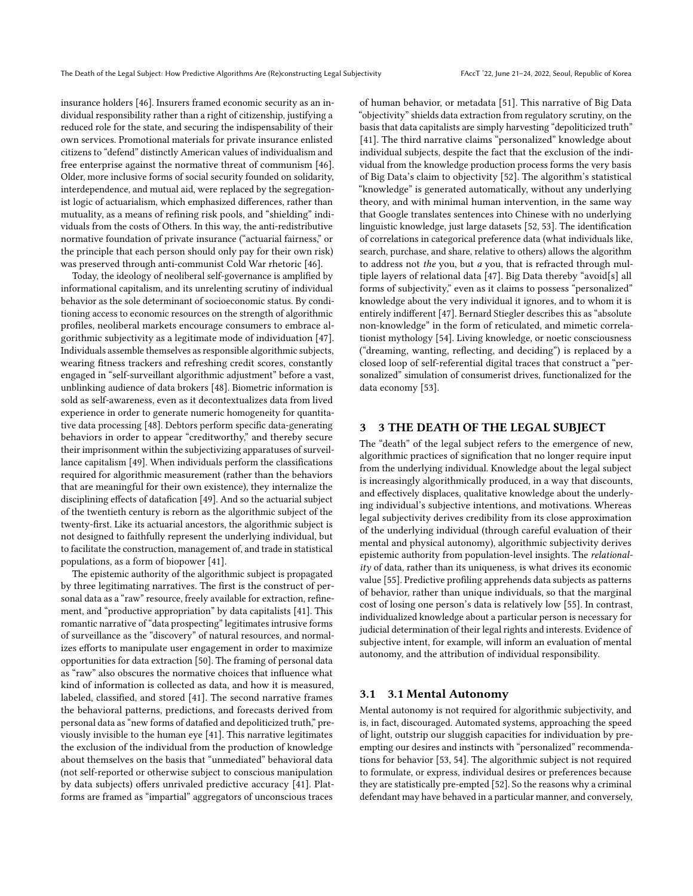insurance holders [\[46\]](#page-9-38). Insurers framed economic security as an individual responsibility rather than a right of citizenship, justifying a reduced role for the state, and securing the indispensability of their own services. Promotional materials for private insurance enlisted citizens to "defend" distinctly American values of individualism and free enterprise against the normative threat of communism [\[46\]](#page-9-38). Older, more inclusive forms of social security founded on solidarity, interdependence, and mutual aid, were replaced by the segregationist logic of actuarialism, which emphasized differences, rather than mutuality, as a means of refining risk pools, and "shielding" individuals from the costs of Others. In this way, the anti-redistributive normative foundation of private insurance ("actuarial fairness," or the principle that each person should only pay for their own risk) was preserved through anti-communist Cold War rhetoric [\[46\]](#page-9-38).

Today, the ideology of neoliberal self-governance is amplified by informational capitalism, and its unrelenting scrutiny of individual behavior as the sole determinant of socioeconomic status. By conditioning access to economic resources on the strength of algorithmic profiles, neoliberal markets encourage consumers to embrace algorithmic subjectivity as a legitimate mode of individuation [\[47\]](#page-9-39). Individuals assemble themselves as responsible algorithmic subjects, wearing fitness trackers and refreshing credit scores, constantly engaged in "self-surveillant algorithmic adjustment" before a vast, unblinking audience of data brokers [\[48\]](#page-9-40). Biometric information is sold as self-awareness, even as it decontextualizes data from lived experience in order to generate numeric homogeneity for quantitative data processing [\[48\]](#page-9-40). Debtors perform specific data-generating behaviors in order to appear "creditworthy," and thereby secure their imprisonment within the subjectivizing apparatuses of surveillance capitalism [\[49\]](#page-9-41). When individuals perform the classifications required for algorithmic measurement (rather than the behaviors that are meaningful for their own existence), they internalize the disciplining effects of datafication [\[49\]](#page-9-41). And so the actuarial subject of the twentieth century is reborn as the algorithmic subject of the twenty-first. Like its actuarial ancestors, the algorithmic subject is not designed to faithfully represent the underlying individual, but to facilitate the construction, management of, and trade in statistical populations, as a form of biopower [\[41\]](#page-9-2).

The epistemic authority of the algorithmic subject is propagated by three legitimating narratives. The first is the construct of personal data as a "raw" resource, freely available for extraction, refinement, and "productive appropriation" by data capitalists [\[41\]](#page-9-2). This romantic narrative of "data prospecting" legitimates intrusive forms of surveillance as the "discovery" of natural resources, and normalizes efforts to manipulate user engagement in order to maximize opportunities for data extraction [\[50\]](#page-9-42). The framing of personal data as "raw" also obscures the normative choices that influence what kind of information is collected as data, and how it is measured, labeled, classified, and stored [\[41\]](#page-9-2). The second narrative frames the behavioral patterns, predictions, and forecasts derived from personal data as "new forms of datafied and depoliticized truth," previously invisible to the human eye [\[41\]](#page-9-2). This narrative legitimates the exclusion of the individual from the production of knowledge about themselves on the basis that "unmediated" behavioral data (not self-reported or otherwise subject to conscious manipulation by data subjects) offers unrivaled predictive accuracy [\[41\]](#page-9-2). Platforms are framed as "impartial" aggregators of unconscious traces

of human behavior, or metadata [\[51\]](#page-9-43). This narrative of Big Data "objectivity" shields data extraction from regulatory scrutiny, on the basis that data capitalists are simply harvesting "depoliticized truth" [\[41\]](#page-9-2). The third narrative claims "personalized" knowledge about individual subjects, despite the fact that the exclusion of the individual from the knowledge production process forms the very basis of Big Data's claim to objectivity [\[52\]](#page-9-44). The algorithm's statistical "knowledge" is generated automatically, without any underlying theory, and with minimal human intervention, in the same way that Google translates sentences into Chinese with no underlying linguistic knowledge, just large datasets [\[52,](#page-9-44) [53\]](#page-9-45). The identification of correlations in categorical preference data (what individuals like, search, purchase, and share, relative to others) allows the algorithm to address not the you, but a you, that is refracted through multiple layers of relational data [\[47\]](#page-9-39). Big Data thereby "avoid[s] all forms of subjectivity," even as it claims to possess "personalized" knowledge about the very individual it ignores, and to whom it is entirely indifferent [\[47\]](#page-9-39). Bernard Stiegler describes this as "absolute non-knowledge" in the form of reticulated, and mimetic correlationist mythology [\[54\]](#page-9-46). Living knowledge, or noetic consciousness ("dreaming, wanting, reflecting, and deciding") is replaced by a closed loop of self-referential digital traces that construct a "personalized" simulation of consumerist drives, functionalized for the data economy [\[53\]](#page-9-45).

## 3 3 THE DEATH OF THE LEGAL SUBJECT

The "death" of the legal subject refers to the emergence of new, algorithmic practices of signification that no longer require input from the underlying individual. Knowledge about the legal subject is increasingly algorithmically produced, in a way that discounts, and effectively displaces, qualitative knowledge about the underlying individual's subjective intentions, and motivations. Whereas legal subjectivity derives credibility from its close approximation of the underlying individual (through careful evaluation of their mental and physical autonomy), algorithmic subjectivity derives epistemic authority from population-level insights. The relational $it\gamma$  of data, rather than its uniqueness, is what drives its economic value [\[55\]](#page-9-47). Predictive profiling apprehends data subjects as patterns of behavior, rather than unique individuals, so that the marginal cost of losing one person's data is relatively low [\[55\]](#page-9-47). In contrast, individualized knowledge about a particular person is necessary for judicial determination of their legal rights and interests. Evidence of subjective intent, for example, will inform an evaluation of mental autonomy, and the attribution of individual responsibility.

#### 3.1 3.1 Mental Autonomy

Mental autonomy is not required for algorithmic subjectivity, and is, in fact, discouraged. Automated systems, approaching the speed of light, outstrip our sluggish capacities for individuation by preempting our desires and instincts with "personalized" recommendations for behavior [\[53,](#page-9-45) [54\]](#page-9-46). The algorithmic subject is not required to formulate, or express, individual desires or preferences because they are statistically pre-empted [\[52\]](#page-9-44). So the reasons why a criminal defendant may have behaved in a particular manner, and conversely,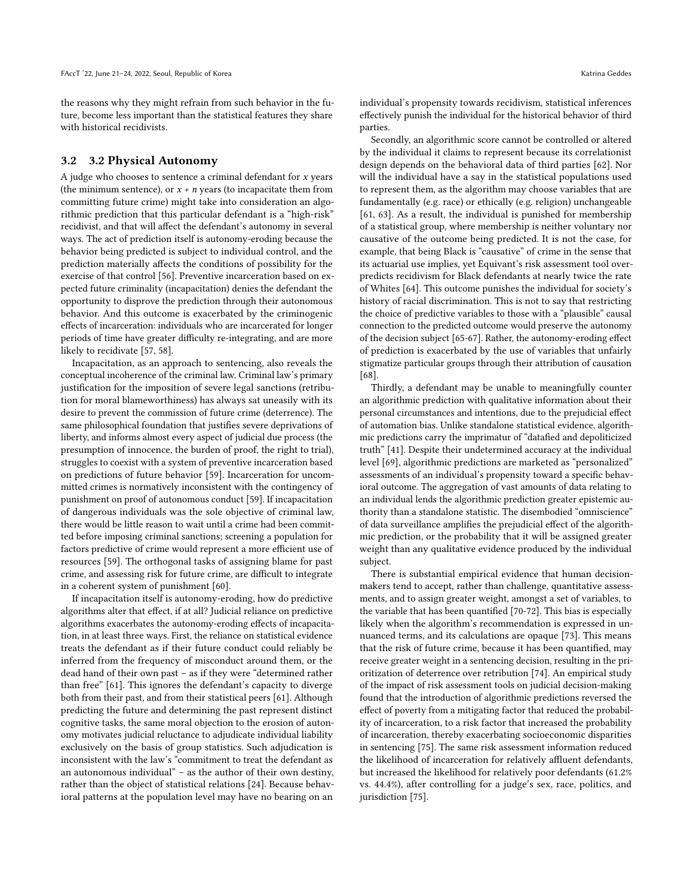the reasons why they might refrain from such behavior in the future, become less important than the statistical features they share with historical recidivists.

#### 3.2 3.2 Physical Autonomy

A judge who chooses to sentence a criminal defendant for  $x$  years (the minimum sentence), or  $x + n$  years (to incapacitate them from committing future crime) might take into consideration an algorithmic prediction that this particular defendant is a "high-risk" recidivist, and that will affect the defendant's autonomy in several ways. The act of prediction itself is autonomy-eroding because the behavior being predicted is subject to individual control, and the prediction materially affects the conditions of possibility for the exercise of that control [\[56\]](#page-9-48). Preventive incarceration based on expected future criminality (incapacitation) denies the defendant the opportunity to disprove the prediction through their autonomous behavior. And this outcome is exacerbated by the criminogenic effects of incarceration: individuals who are incarcerated for longer periods of time have greater difficulty re-integrating, and are more likely to recidivate [\[57,](#page-9-49) [58\]](#page-9-50).

Incapacitation, as an approach to sentencing, also reveals the conceptual incoherence of the criminal law. Criminal law's primary justification for the imposition of severe legal sanctions (retribution for moral blameworthiness) has always sat uneasily with its desire to prevent the commission of future crime (deterrence). The same philosophical foundation that justifies severe deprivations of liberty, and informs almost every aspect of judicial due process (the presumption of innocence, the burden of proof, the right to trial), struggles to coexist with a system of preventive incarceration based on predictions of future behavior [\[59\]](#page-9-51). Incarceration for uncommitted crimes is normatively inconsistent with the contingency of punishment on proof of autonomous conduct [\[59\]](#page-9-51). If incapacitation of dangerous individuals was the sole objective of criminal law, there would be little reason to wait until a crime had been committed before imposing criminal sanctions; screening a population for factors predictive of crime would represent a more efficient use of resources [\[59\]](#page-9-51). The orthogonal tasks of assigning blame for past crime, and assessing risk for future crime, are difficult to integrate in a coherent system of punishment [\[60\]](#page-9-52).

If incapacitation itself is autonomy-eroding, how do predictive algorithms alter that effect, if at all? Judicial reliance on predictive algorithms exacerbates the autonomy-eroding effects of incapacitation, in at least three ways. First, the reliance on statistical evidence treats the defendant as if their future conduct could reliably be inferred from the frequency of misconduct around them, or the dead hand of their own past – as if they were "determined rather than free" [\[61\]](#page-9-53). This ignores the defendant's capacity to diverge both from their past, and from their statistical peers [\[61\]](#page-9-53). Although predicting the future and determining the past represent distinct cognitive tasks, the same moral objection to the erosion of autonomy motivates judicial reluctance to adjudicate individual liability exclusively on the basis of group statistics. Such adjudication is inconsistent with the law's "commitment to treat the defendant as an autonomous individual" – as the author of their own destiny, rather than the object of statistical relations [\[24\]](#page-9-17). Because behavioral patterns at the population level may have no bearing on an

individual's propensity towards recidivism, statistical inferences effectively punish the individual for the historical behavior of third parties.

Secondly, an algorithmic score cannot be controlled or altered by the individual it claims to represent because its correlationist design depends on the behavioral data of third parties [\[62\]](#page-10-3). Nor will the individual have a say in the statistical populations used to represent them, as the algorithm may choose variables that are fundamentally (e.g. race) or ethically (e.g. religion) unchangeable [\[61,](#page-9-53) [63\]](#page-10-1). As a result, the individual is punished for membership of a statistical group, where membership is neither voluntary nor causative of the outcome being predicted. It is not the case, for example, that being Black is "causative" of crime in the sense that its actuarial use implies, yet Equivant's risk assessment tool overpredicts recidivism for Black defendants at nearly twice the rate of Whites [\[64\]](#page-10-4). This outcome punishes the individual for society's history of racial discrimination. This is not to say that restricting the choice of predictive variables to those with a "plausible" causal connection to the predicted outcome would preserve the autonomy of the decision subject [\[65-](#page-10-5)[67\]](#page-10-6). Rather, the autonomy-eroding effect of prediction is exacerbated by the use of variables that unfairly stigmatize particular groups through their attribution of causation [\[68\]](#page-10-7).

Thirdly, a defendant may be unable to meaningfully counter an algorithmic prediction with qualitative information about their personal circumstances and intentions, due to the prejudicial effect of automation bias. Unlike standalone statistical evidence, algorithmic predictions carry the imprimatur of "datafied and depoliticized truth" [\[41\]](#page-9-2). Despite their undetermined accuracy at the individual level [\[69\]](#page-10-8), algorithmic predictions are marketed as "personalized" assessments of an individual's propensity toward a specific behavioral outcome. The aggregation of vast amounts of data relating to an individual lends the algorithmic prediction greater epistemic authority than a standalone statistic. The disembodied "omniscience" of data surveillance amplifies the prejudicial effect of the algorithmic prediction, or the probability that it will be assigned greater weight than any qualitative evidence produced by the individual subject.

There is substantial empirical evidence that human decisionmakers tend to accept, rather than challenge, quantitative assessments, and to assign greater weight, amongst a set of variables, to the variable that has been quantified [\[70](#page-10-9)[-72\]](#page-10-10). This bias is especially likely when the algorithm's recommendation is expressed in unnuanced terms, and its calculations are opaque [\[73\]](#page-10-11). This means that the risk of future crime, because it has been quantified, may receive greater weight in a sentencing decision, resulting in the prioritization of deterrence over retribution [\[74\]](#page-10-12). An empirical study of the impact of risk assessment tools on judicial decision-making found that the introduction of algorithmic predictions reversed the effect of poverty from a mitigating factor that reduced the probability of incarceration, to a risk factor that increased the probability of incarceration, thereby exacerbating socioeconomic disparities in sentencing [\[75\]](#page-10-13). The same risk assessment information reduced the likelihood of incarceration for relatively affluent defendants, but increased the likelihood for relatively poor defendants (61.2% vs. 44.4%), after controlling for a judge's sex, race, politics, and jurisdiction [\[75\]](#page-10-13).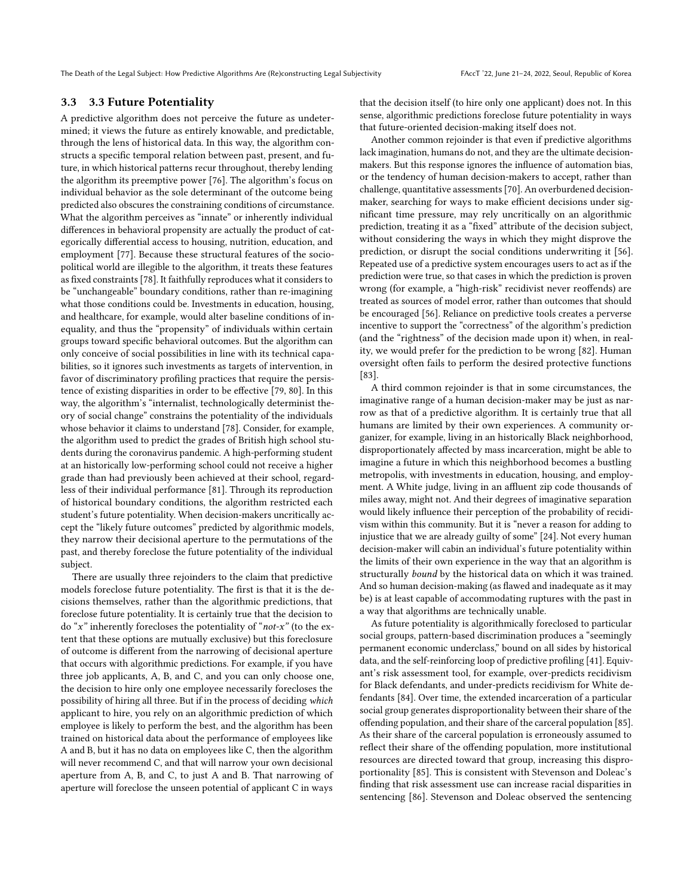The Death of the Legal Subject: How Predictive Algorithms Are (Re)constructing Legal Subjectivity FAccT '22, June 21-24, 2022, Seoul, Republic of Korea

## 3.3 3.3 Future Potentiality

A predictive algorithm does not perceive the future as undetermined; it views the future as entirely knowable, and predictable, through the lens of historical data. In this way, the algorithm constructs a specific temporal relation between past, present, and future, in which historical patterns recur throughout, thereby lending the algorithm its preemptive power [\[76\]](#page-10-14). The algorithm's focus on individual behavior as the sole determinant of the outcome being predicted also obscures the constraining conditions of circumstance. What the algorithm perceives as "innate" or inherently individual differences in behavioral propensity are actually the product of categorically differential access to housing, nutrition, education, and employment [\[77\]](#page-10-15). Because these structural features of the sociopolitical world are illegible to the algorithm, it treats these features as fixed constraints [\[78\]](#page-10-2). It faithfully reproduces what it considers to be "unchangeable" boundary conditions, rather than re-imagining what those conditions could be. Investments in education, housing, and healthcare, for example, would alter baseline conditions of inequality, and thus the "propensity" of individuals within certain groups toward specific behavioral outcomes. But the algorithm can only conceive of social possibilities in line with its technical capabilities, so it ignores such investments as targets of intervention, in favor of discriminatory profiling practices that require the persistence of existing disparities in order to be effective [\[79,](#page-10-16) [80\]](#page-10-17). In this way, the algorithm's "internalist, technologically determinist theory of social change" constrains the potentiality of the individuals whose behavior it claims to understand [\[78\]](#page-10-2). Consider, for example, the algorithm used to predict the grades of British high school students during the coronavirus pandemic. A high-performing student at an historically low-performing school could not receive a higher grade than had previously been achieved at their school, regardless of their individual performance [\[81\]](#page-10-18). Through its reproduction of historical boundary conditions, the algorithm restricted each student's future potentiality. When decision-makers uncritically accept the "likely future outcomes" predicted by algorithmic models, they narrow their decisional aperture to the permutations of the past, and thereby foreclose the future potentiality of the individual subject.

There are usually three rejoinders to the claim that predictive models foreclose future potentiality. The first is that it is the decisions themselves, rather than the algorithmic predictions, that foreclose future potentiality. It is certainly true that the decision to do " $x$ " inherently forecloses the potentiality of " $not-x$ " (to the extent that these options are mutually exclusive) but this foreclosure of outcome is different from the narrowing of decisional aperture that occurs with algorithmic predictions. For example, if you have three job applicants, A, B, and C, and you can only choose one, the decision to hire only one employee necessarily forecloses the possibility of hiring all three. But if in the process of deciding which applicant to hire, you rely on an algorithmic prediction of which employee is likely to perform the best, and the algorithm has been trained on historical data about the performance of employees like A and B, but it has no data on employees like C, then the algorithm will never recommend C, and that will narrow your own decisional aperture from A, B, and C, to just A and B. That narrowing of aperture will foreclose the unseen potential of applicant C in ways

that the decision itself (to hire only one applicant) does not. In this sense, algorithmic predictions foreclose future potentiality in ways that future-oriented decision-making itself does not.

Another common rejoinder is that even if predictive algorithms lack imagination, humans do not, and they are the ultimate decisionmakers. But this response ignores the influence of automation bias, or the tendency of human decision-makers to accept, rather than challenge, quantitative assessments [\[70\]](#page-10-9). An overburdened decisionmaker, searching for ways to make efficient decisions under significant time pressure, may rely uncritically on an algorithmic prediction, treating it as a "fixed" attribute of the decision subject, without considering the ways in which they might disprove the prediction, or disrupt the social conditions underwriting it [\[56\]](#page-9-48). Repeated use of a predictive system encourages users to act as if the prediction were true, so that cases in which the prediction is proven wrong (for example, a "high-risk" recidivist never reoffends) are treated as sources of model error, rather than outcomes that should be encouraged [\[56\]](#page-9-48). Reliance on predictive tools creates a perverse incentive to support the "correctness" of the algorithm's prediction (and the "rightness" of the decision made upon it) when, in reality, we would prefer for the prediction to be wrong [\[82\]](#page-10-19). Human oversight often fails to perform the desired protective functions [\[83\]](#page-10-20).

A third common rejoinder is that in some circumstances, the imaginative range of a human decision-maker may be just as narrow as that of a predictive algorithm. It is certainly true that all humans are limited by their own experiences. A community organizer, for example, living in an historically Black neighborhood, disproportionately affected by mass incarceration, might be able to imagine a future in which this neighborhood becomes a bustling metropolis, with investments in education, housing, and employment. A White judge, living in an affluent zip code thousands of miles away, might not. And their degrees of imaginative separation would likely influence their perception of the probability of recidivism within this community. But it is "never a reason for adding to injustice that we are already guilty of some" [\[24\]](#page-9-17). Not every human decision-maker will cabin an individual's future potentiality within the limits of their own experience in the way that an algorithm is structurally bound by the historical data on which it was trained. And so human decision-making (as flawed and inadequate as it may be) is at least capable of accommodating ruptures with the past in a way that algorithms are technically unable.

As future potentiality is algorithmically foreclosed to particular social groups, pattern-based discrimination produces a "seemingly permanent economic underclass," bound on all sides by historical data, and the self-reinforcing loop of predictive profiling [\[41\]](#page-9-2). Equivant's risk assessment tool, for example, over-predicts recidivism for Black defendants, and under-predicts recidivism for White defendants [\[84\]](#page-10-21). Over time, the extended incarceration of a particular social group generates disproportionality between their share of the offending population, and their share of the carceral population [\[85\]](#page-10-22). As their share of the carceral population is erroneously assumed to reflect their share of the offending population, more institutional resources are directed toward that group, increasing this disproportionality [\[85\]](#page-10-22). This is consistent with Stevenson and Doleac's finding that risk assessment use can increase racial disparities in sentencing [\[86\]](#page-10-23). Stevenson and Doleac observed the sentencing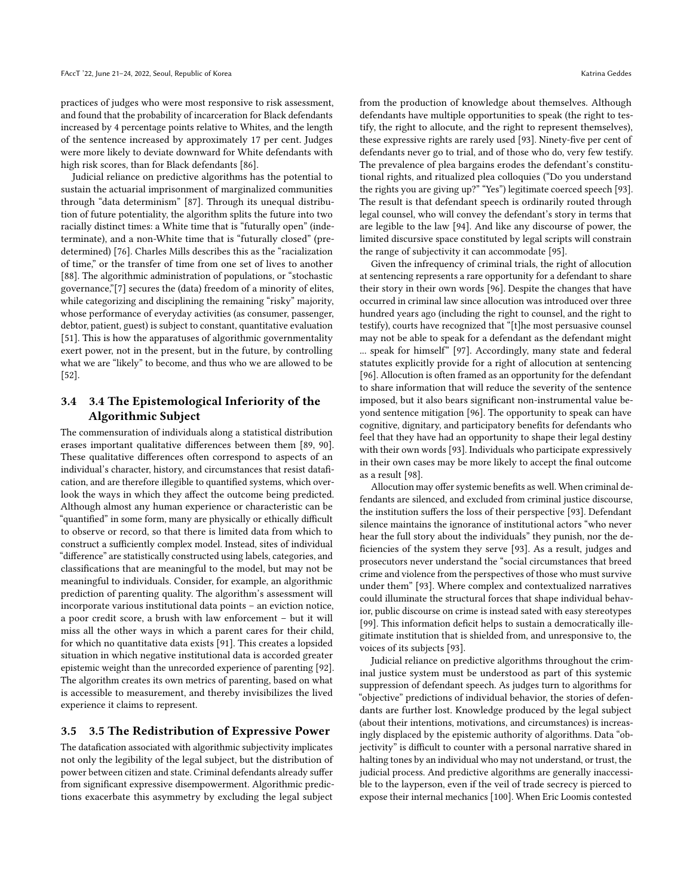practices of judges who were most responsive to risk assessment, and found that the probability of incarceration for Black defendants increased by 4 percentage points relative to Whites, and the length of the sentence increased by approximately 17 per cent. Judges were more likely to deviate downward for White defendants with high risk scores, than for Black defendants [\[86\]](#page-10-23).

Judicial reliance on predictive algorithms has the potential to sustain the actuarial imprisonment of marginalized communities through "data determinism" [\[87\]](#page-10-24). Through its unequal distribution of future potentiality, the algorithm splits the future into two racially distinct times: a White time that is "futurally open" (indeterminate), and a non-White time that is "futurally closed" (predetermined) [\[76\]](#page-10-14). Charles Mills describes this as the "racialization of time," or the transfer of time from one set of lives to another [\[88\]](#page-10-25). The algorithmic administration of populations, or "stochastic governance,"[7] secures the (data) freedom of a minority of elites, while categorizing and disciplining the remaining "risky" majority, whose performance of everyday activities (as consumer, passenger, debtor, patient, guest) is subject to constant, quantitative evaluation [\[51\]](#page-9-43). This is how the apparatuses of algorithmic governmentality exert power, not in the present, but in the future, by controlling what we are "likely" to become, and thus who we are allowed to be [\[52\]](#page-9-44).

## 3.4 3.4 The Epistemological Inferiority of the Algorithmic Subject

The commensuration of individuals along a statistical distribution erases important qualitative differences between them [\[89,](#page-10-26) [90\]](#page-10-27). These qualitative differences often correspond to aspects of an individual's character, history, and circumstances that resist datafication, and are therefore illegible to quantified systems, which overlook the ways in which they affect the outcome being predicted. Although almost any human experience or characteristic can be "quantified" in some form, many are physically or ethically difficult to observe or record, so that there is limited data from which to construct a sufficiently complex model. Instead, sites of individual "difference" are statistically constructed using labels, categories, and classifications that are meaningful to the model, but may not be meaningful to individuals. Consider, for example, an algorithmic prediction of parenting quality. The algorithm's assessment will incorporate various institutional data points – an eviction notice, a poor credit score, a brush with law enforcement – but it will miss all the other ways in which a parent cares for their child, for which no quantitative data exists [\[91\]](#page-10-28). This creates a lopsided situation in which negative institutional data is accorded greater epistemic weight than the unrecorded experience of parenting [\[92\]](#page-10-29). The algorithm creates its own metrics of parenting, based on what is accessible to measurement, and thereby invisibilizes the lived experience it claims to represent.

#### 3.5 3.5 The Redistribution of Expressive Power

The datafication associated with algorithmic subjectivity implicates not only the legibility of the legal subject, but the distribution of power between citizen and state. Criminal defendants already suffer from significant expressive disempowerment. Algorithmic predictions exacerbate this asymmetry by excluding the legal subject

from the production of knowledge about themselves. Although defendants have multiple opportunities to speak (the right to testify, the right to allocute, and the right to represent themselves), these expressive rights are rarely used [\[93\]](#page-10-30). Ninety-five per cent of defendants never go to trial, and of those who do, very few testify. The prevalence of plea bargains erodes the defendant's constitutional rights, and ritualized plea colloquies ("Do you understand the rights you are giving up?" "Yes") legitimate coerced speech [\[93\]](#page-10-30). The result is that defendant speech is ordinarily routed through legal counsel, who will convey the defendant's story in terms that are legible to the law [\[94\]](#page-10-31). And like any discourse of power, the limited discursive space constituted by legal scripts will constrain the range of subjectivity it can accommodate [\[95\]](#page-10-32).

Given the infrequency of criminal trials, the right of allocution at sentencing represents a rare opportunity for a defendant to share their story in their own words [\[96\]](#page-10-33). Despite the changes that have occurred in criminal law since allocution was introduced over three hundred years ago (including the right to counsel, and the right to testify), courts have recognized that "[t]he most persuasive counsel may not be able to speak for a defendant as the defendant might ... speak for himself" [\[97\]](#page-10-34). Accordingly, many state and federal statutes explicitly provide for a right of allocution at sentencing [\[96\]](#page-10-33). Allocution is often framed as an opportunity for the defendant to share information that will reduce the severity of the sentence imposed, but it also bears significant non-instrumental value beyond sentence mitigation [\[96\]](#page-10-33). The opportunity to speak can have cognitive, dignitary, and participatory benefits for defendants who feel that they have had an opportunity to shape their legal destiny with their own words [\[93\]](#page-10-30). Individuals who participate expressively in their own cases may be more likely to accept the final outcome as a result [\[98\]](#page-10-35).

Allocution may offer systemic benefits as well. When criminal defendants are silenced, and excluded from criminal justice discourse, the institution suffers the loss of their perspective [\[93\]](#page-10-30). Defendant silence maintains the ignorance of institutional actors "who never hear the full story about the individuals" they punish, nor the deficiencies of the system they serve [\[93\]](#page-10-30). As a result, judges and prosecutors never understand the "social circumstances that breed crime and violence from the perspectives of those who must survive under them" [\[93\]](#page-10-30). Where complex and contextualized narratives could illuminate the structural forces that shape individual behavior, public discourse on crime is instead sated with easy stereotypes [\[99\]](#page-10-36). This information deficit helps to sustain a democratically illegitimate institution that is shielded from, and unresponsive to, the voices of its subjects [\[93\]](#page-10-30).

Judicial reliance on predictive algorithms throughout the criminal justice system must be understood as part of this systemic suppression of defendant speech. As judges turn to algorithms for "objective" predictions of individual behavior, the stories of defendants are further lost. Knowledge produced by the legal subject (about their intentions, motivations, and circumstances) is increasingly displaced by the epistemic authority of algorithms. Data "objectivity" is difficult to counter with a personal narrative shared in halting tones by an individual who may not understand, or trust, the judicial process. And predictive algorithms are generally inaccessible to the layperson, even if the veil of trade secrecy is pierced to expose their internal mechanics [\[100\]](#page-10-37). When Eric Loomis contested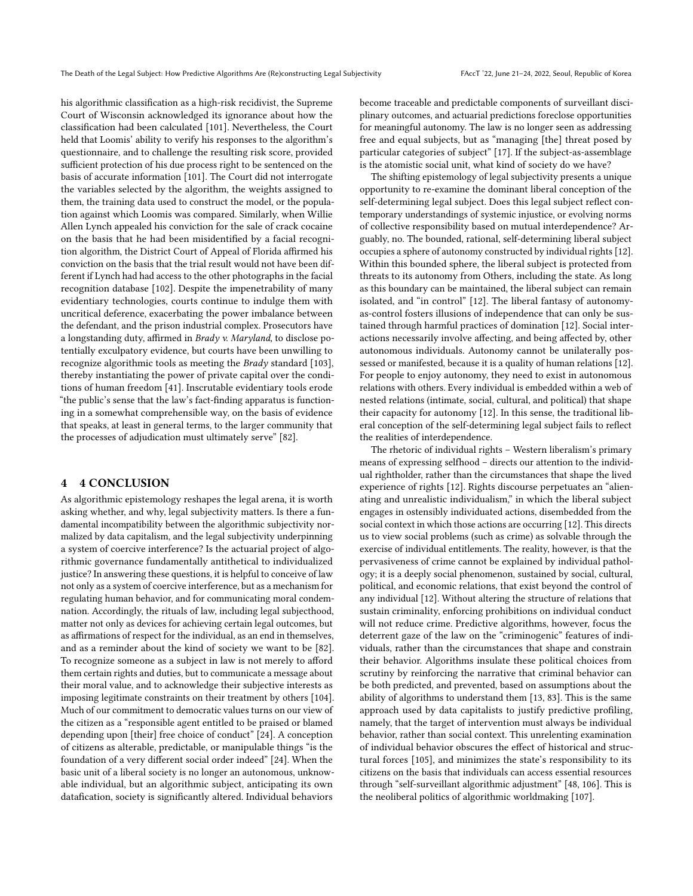his algorithmic classification as a high-risk recidivist, the Supreme Court of Wisconsin acknowledged its ignorance about how the classification had been calculated [\[101\]](#page-10-38). Nevertheless, the Court held that Loomis' ability to verify his responses to the algorithm's questionnaire, and to challenge the resulting risk score, provided sufficient protection of his due process right to be sentenced on the basis of accurate information [\[101\]](#page-10-38). The Court did not interrogate the variables selected by the algorithm, the weights assigned to them, the training data used to construct the model, or the population against which Loomis was compared. Similarly, when Willie Allen Lynch appealed his conviction for the sale of crack cocaine on the basis that he had been misidentified by a facial recognition algorithm, the District Court of Appeal of Florida affirmed his conviction on the basis that the trial result would not have been different if Lynch had had access to the other photographs in the facial recognition database [\[102\]](#page-10-39). Despite the impenetrability of many evidentiary technologies, courts continue to indulge them with uncritical deference, exacerbating the power imbalance between the defendant, and the prison industrial complex. Prosecutors have a longstanding duty, affirmed in Brady v. Maryland, to disclose potentially exculpatory evidence, but courts have been unwilling to recognize algorithmic tools as meeting the Brady standard [\[103\]](#page-10-40), thereby instantiating the power of private capital over the conditions of human freedom [\[41\]](#page-9-2). Inscrutable evidentiary tools erode "the public's sense that the law's fact-finding apparatus is functioning in a somewhat comprehensible way, on the basis of evidence that speaks, at least in general terms, to the larger community that the processes of adjudication must ultimately serve" [\[82\]](#page-10-19).

## 4 4 CONCLUSION

As algorithmic epistemology reshapes the legal arena, it is worth asking whether, and why, legal subjectivity matters. Is there a fundamental incompatibility between the algorithmic subjectivity normalized by data capitalism, and the legal subjectivity underpinning a system of coercive interference? Is the actuarial project of algorithmic governance fundamentally antithetical to individualized justice? In answering these questions, it is helpful to conceive of law not only as a system of coercive interference, but as a mechanism for regulating human behavior, and for communicating moral condemnation. Accordingly, the rituals of law, including legal subjecthood, matter not only as devices for achieving certain legal outcomes, but as affirmations of respect for the individual, as an end in themselves, and as a reminder about the kind of society we want to be [\[82\]](#page-10-19). To recognize someone as a subject in law is not merely to afford them certain rights and duties, but to communicate a message about their moral value, and to acknowledge their subjective interests as imposing legitimate constraints on their treatment by others [\[104\]](#page-10-41). Much of our commitment to democratic values turns on our view of the citizen as a "responsible agent entitled to be praised or blamed depending upon [their] free choice of conduct" [\[24\]](#page-9-17). A conception of citizens as alterable, predictable, or manipulable things "is the foundation of a very different social order indeed" [\[24\]](#page-9-17). When the basic unit of a liberal society is no longer an autonomous, unknowable individual, but an algorithmic subject, anticipating its own datafication, society is significantly altered. Individual behaviors

become traceable and predictable components of surveillant disciplinary outcomes, and actuarial predictions foreclose opportunities for meaningful autonomy. The law is no longer seen as addressing free and equal subjects, but as "managing [the] threat posed by particular categories of subject" [\[17\]](#page-9-10). If the subject-as-assemblage is the atomistic social unit, what kind of society do we have?

The shifting epistemology of legal subjectivity presents a unique opportunity to re-examine the dominant liberal conception of the self-determining legal subject. Does this legal subject reflect contemporary understandings of systemic injustice, or evolving norms of collective responsibility based on mutual interdependence? Arguably, no. The bounded, rational, self-determining liberal subject occupies a sphere of autonomy constructed by individual rights [\[12\]](#page-9-5). Within this bounded sphere, the liberal subject is protected from threats to its autonomy from Others, including the state. As long as this boundary can be maintained, the liberal subject can remain isolated, and "in control" [\[12\]](#page-9-5). The liberal fantasy of autonomyas-control fosters illusions of independence that can only be sustained through harmful practices of domination [\[12\]](#page-9-5). Social interactions necessarily involve affecting, and being affected by, other autonomous individuals. Autonomy cannot be unilaterally possessed or manifested, because it is a quality of human relations [\[12\]](#page-9-5). For people to enjoy autonomy, they need to exist in autonomous relations with others. Every individual is embedded within a web of nested relations (intimate, social, cultural, and political) that shape their capacity for autonomy [\[12\]](#page-9-5). In this sense, the traditional liberal conception of the self-determining legal subject fails to reflect the realities of interdependence.

The rhetoric of individual rights – Western liberalism's primary means of expressing selfhood – directs our attention to the individual rightholder, rather than the circumstances that shape the lived experience of rights [\[12\]](#page-9-5). Rights discourse perpetuates an "alienating and unrealistic individualism," in which the liberal subject engages in ostensibly individuated actions, disembedded from the social context in which those actions are occurring [\[12\]](#page-9-5). This directs us to view social problems (such as crime) as solvable through the exercise of individual entitlements. The reality, however, is that the pervasiveness of crime cannot be explained by individual pathology; it is a deeply social phenomenon, sustained by social, cultural, political, and economic relations, that exist beyond the control of any individual [\[12\]](#page-9-5). Without altering the structure of relations that sustain criminality, enforcing prohibitions on individual conduct will not reduce crime. Predictive algorithms, however, focus the deterrent gaze of the law on the "criminogenic" features of individuals, rather than the circumstances that shape and constrain their behavior. Algorithms insulate these political choices from scrutiny by reinforcing the narrative that criminal behavior can be both predicted, and prevented, based on assumptions about the ability of algorithms to understand them [\[13,](#page-9-6) [83\]](#page-10-20). This is the same approach used by data capitalists to justify predictive profiling, namely, that the target of intervention must always be individual behavior, rather than social context. This unrelenting examination of individual behavior obscures the effect of historical and structural forces [\[105\]](#page-10-42), and minimizes the state's responsibility to its citizens on the basis that individuals can access essential resources through "self-surveillant algorithmic adjustment" [\[48,](#page-9-40) [106\]](#page-10-43). This is the neoliberal politics of algorithmic worldmaking [\[107\]](#page-10-44).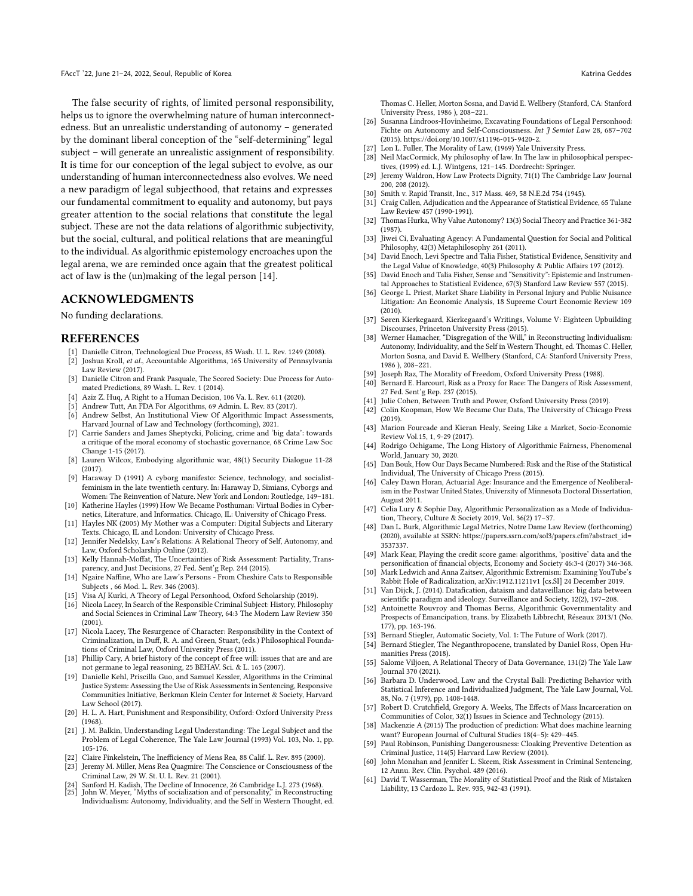The false security of rights, of limited personal responsibility, helps us to ignore the overwhelming nature of human interconnectedness. But an unrealistic understanding of autonomy – generated by the dominant liberal conception of the "self-determining" legal subject – will generate an unrealistic assignment of responsibility. It is time for our conception of the legal subject to evolve, as our understanding of human interconnectedness also evolves. We need a new paradigm of legal subjecthood, that retains and expresses our fundamental commitment to equality and autonomy, but pays greater attention to the social relations that constitute the legal subject. These are not the data relations of algorithmic subjectivity, but the social, cultural, and political relations that are meaningful to the individual. As algorithmic epistemology encroaches upon the legal arena, we are reminded once again that the greatest political act of law is the (un)making of the legal person [\[14\]](#page-9-7).

#### ACKNOWLEDGMENTS

No funding declarations.

#### REFERENCES

- <span id="page-9-0"></span>[1] Danielle Citron, Technological Due Process, 85 Wash. U. L. Rev. 1249 (2008). [2] Joshua Kroll, et al., Accountable Algorithms, 165 University of Pennsylvania
- Law Review (2017). [3] Danielle Citron and Frank Pasquale, The Scored Society: Due Process for Auto-
- mated Predictions, 89 Wash. L. Rev. 1 (2014).
- [4] Aziz Z. Huq, A Right to a Human Decision, 106 Va. L. Rev. 611 (2020).
- <span id="page-9-1"></span>[5] Andrew Tutt, An FDA For Algorithms, 69 Admin. L. Rev. 83 (2017). [6] Andrew Selbst, An Institutional View Of Algorithmic Impact Assessments, Harvard Journal of Law and Technology (forthcoming), 2021.
- [7] Carrie Sanders and James Sheptycki, Policing, crime and 'big data': towards a critique of the moral economy of stochastic governance, 68 Crime Law Soc Change 1-15 (2017).
- <span id="page-9-3"></span>[8] Lauren Wilcox, Embodying algorithmic war, 48(1) Security Dialogue 11-28 (2017).
- [9] Haraway D (1991) A cyborg manifesto: Science, technology, and socialistfeminism in the late twentieth century. In: Haraway D, Simians, Cyborgs and Women: The Reinvention of Nature. New York and London: Routledge, 149–181.
- [10] Katherine Hayles (1999) How We Became Posthuman: Virtual Bodies in Cybernetics, Literature, and Informatics. Chicago, IL: University of Chicago Press.
- <span id="page-9-4"></span>[11] Hayles NK (2005) My Mother was a Computer: Digital Subjects and Literary Texts. Chicago, IL and London: University of Chicago Press.
- <span id="page-9-5"></span>[12] Jennifer Nedelsky, Law's Relations: A Relational Theory of Self, Autonomy, and Law, Oxford Scholarship Online (2012).
- <span id="page-9-6"></span>[13] Kelly Hannah-Moffat, The Uncertainties of Risk Assessment: Partiality, Transparency, and Just Decisions, 27 Fed. Sent'g Rep. 244 (2015).
- <span id="page-9-7"></span>[14] Ngaire Naffine, Who are Law's Persons - From Cheshire Cats to Responsible Subjects , 66 Mod. L. Rev. 346 (2003).
- <span id="page-9-8"></span>[15] Visa AJ Kurki, A Theory of Legal Personhood, Oxford Scholarship (2019).
- <span id="page-9-9"></span>[16] Nicola Lacey, In Search of the Responsible Criminal Subject: History, Philosophy and Social Sciences in Criminal Law Theory, 64:3 The Modern Law Review 350 (2001).
- <span id="page-9-10"></span>[17] Nicola Lacey, The Resurgence of Character: Responsibility in the Context of Criminalization, in Duff, R. A. and Green, Stuart, (eds.) Philosophical Foundations of Criminal Law, Oxford University Press (2011).
- <span id="page-9-11"></span>[18] Phillip Cary, A brief history of the concept of free will: issues that are and are not germane to legal reasoning, 25 BEHAV. Sci. & L. 165 (2007).
- <span id="page-9-12"></span>[19] Danielle Kehl, Priscilla Guo, and Samuel Kessler, Algorithms in the Criminal Justice System: Assessing the Use of Risk Assessments in Sentencing, Responsive Communities Initiative, Berkman Klein Center for Internet & Society, Harvard Law School (2017).
- <span id="page-9-13"></span>[20] H. L. A. Hart, Punishment and Responsibility, Oxford: Oxford University Press (1968).
- <span id="page-9-14"></span>[21] J. M. Balkin, Understanding Legal Understanding: The Legal Subject and the Problem of Legal Coherence, The Yale Law Journal (1993) Vol. 103, No. 1, pp. 105-176.
- <span id="page-9-15"></span>[22] Claire Finkelstein, The Inefficiency of Mens Rea, 88 Calif. L. Rev. 895 (2000).
- <span id="page-9-16"></span>[23] Jeremy M. Miller, Mens Rea Quagmire: The Conscience or Consciousness of the Criminal Law, 29 W. St. U. L. Rev. 21 (2001).
- <span id="page-9-18"></span><span id="page-9-17"></span>[24] Sanford H. Kadish, The Decline of Innocence, 26 Cambridge L.J. 273 (1968). [25] John W. Meyer, "Myths of socialization and of personality," in Reconstructing Individualism: Autonomy, Individuality, and the Self in Western Thought, ed.

Thomas C. Heller, Morton Sosna, and David E. Wellbery (Stanford, CA: Stanford University Press, 1986 ), 208–221.

- <span id="page-9-19"></span>[26] Susanna Lindroos-Hovinheimo, Excavating Foundations of Legal Personhood: Fichte on Autonomy and Self-Consciousness. Int J Semiot Law 28, 687-702 (2015). [https://doi.org/10.1007/s11196-015-9420-2.](https://doi.org/10.1007/s11196-015-9420-2)
- <span id="page-9-20"></span>[27] Lon L. Fuller, The Morality of Law, (1969) Yale University Press.
- <span id="page-9-21"></span>[28] Neil MacCormick, My philosophy of law. In The law in philosophical perspectives, (1999) ed. L.J. Wintgens, 121–145. Dordrecht: Springer.
- <span id="page-9-22"></span>[29] Jeremy Waldron, How Law Protects Dignity, 71(1) The Cambridge Law Journal 200, 208 (2012).
- <span id="page-9-23"></span>[30] Smith v. Rapid Transit, Inc., 317 Mass. 469, 58 N.E.2d 754 (1945).
- <span id="page-9-24"></span>Craig Callen, Adjudication and the Appearance of Statistical Evidence, 65 Tulane Law Review 457 (1990-1991).
- <span id="page-9-25"></span>[32] Thomas Hurka, Why Value Autonomy? 13(3) Social Theory and Practice 361-382 (1987).
- <span id="page-9-26"></span>[33] Jiwei Ci, Evaluating Agency: A Fundamental Question for Social and Political Philosophy, 42(3) Metaphilosophy 261 (2011).
- <span id="page-9-27"></span>[34] David Enoch, Levi Spectre and Talia Fisher, Statistical Evidence, Sensitivity and the Legal Value of Knowledge, 40(3) Philosophy & Public Affairs 197 (2012).
- <span id="page-9-28"></span>[35] David Enoch and Talia Fisher, Sense and "Sensitivity": Epistemic and Instrumental Approaches to Statistical Evidence, 67(3) Stanford Law Review 557 (2015).
- <span id="page-9-29"></span>[36] George L. Priest, Market Share Liability in Personal Injury and Public Nuisance Litigation: An Economic Analysis, 18 Supreme Court Economic Review 109  $(2010)$ .
- <span id="page-9-30"></span>[37] Søren Kierkegaard, Kierkegaard's Writings, Volume V: Eighteen Upbuilding Discourses, Princeton University Press (2015).
- <span id="page-9-31"></span>[38] Werner Hamacher, "Disgregation of the Will," in Reconstructing Individualism: Autonomy, Individuality, and the Self in Western Thought, ed. Thomas C. Heller, Morton Sosna, and David E. Wellbery (Stanford, CA: Stanford University Press, 1986 ), 208–221.
- <span id="page-9-32"></span>[39] Joseph Raz, The Morality of Freedom, Oxford University Press (1988).
- <span id="page-9-33"></span>[40] Bernard E. Harcourt, Risk as a Proxy for Race: The Dangers of Risk Assessment, 27 Fed. Sent'g Rep. 237 (2015).
- <span id="page-9-2"></span>[41] Julie Cohen, Between Truth and Power, Oxford University Press (2019).
- <span id="page-9-34"></span>[42] Colin Koopman, How We Became Our Data, The University of Chicago Press (2019).
- <span id="page-9-35"></span>[43] Marion Fourcade and Kieran Healy, Seeing Like a Market, Socio-Economic Review Vol.15, 1, 9-29 (2017).
- <span id="page-9-36"></span>[44] Rodrigo Ochigame, The Long History of Algorithmic Fairness, Phenomenal World, January 30, 2020.
- <span id="page-9-37"></span>[45] Dan Bouk, How Our Days Became Numbered: Risk and the Rise of the Statistical Individual, The University of Chicago Press (2015).
- <span id="page-9-38"></span>[46] Caley Dawn Horan, Actuarial Age: Insurance and the Emergence of Neoliberalism in the Postwar United States, University of Minnesota Doctoral Dissertation, August 2011.
- <span id="page-9-39"></span>[47] Celia Lury & Sophie Day, Algorithmic Personalization as a Mode of Individuation, Theory, Culture & Society 2019, Vol. 36(2) 17–37.
- <span id="page-9-40"></span>[48] Dan L. Burk, Algorithmic Legal Metrics, Notre Dame Law Review (forthcoming) (2020), available at SSRN: [https://papers.ssrn.com/sol3/papers.cfm?abstract\\_id=](https://papers.ssrn.com/sol3/papers.cfm?abstract_id=3537337) [3537337.](https://papers.ssrn.com/sol3/papers.cfm?abstract_id=3537337)
- <span id="page-9-41"></span>[49] Mark Kear, Playing the credit score game: algorithms, 'positive' data and the personification of financial objects, Economy and Society 46:3-4 (2017) 346-368.
- <span id="page-9-42"></span>[50] Mark Ledwich and Anna Zaitsev, Algorithmic Extremism: Examining YouTube's Rabbit Hole of Radicalization,<arXiv:1912.11211v1> [cs.SI] 24 December 2019.
- <span id="page-9-43"></span>[51] Van Dijck, J. (2014). Datafication, dataism and dataveillance: big data between scientific paradigm and ideology. Surveillance and Society, 12(2), 197–208.
- <span id="page-9-44"></span>[52] Antoinette Rouvroy and Thomas Berns, Algorithmic Governmentality and Prospects of Emancipation, trans. by Elizabeth Libbrecht, Réseaux 2013/1 (No. 177), pp. 163-196.
- <span id="page-9-45"></span>[53] Bernard Stiegler, Automatic Society, Vol. 1: The Future of Work (2017).
- <span id="page-9-46"></span>Bernard Stiegler, The Neganthropocene, translated by Daniel Ross, Open Hu-
- <span id="page-9-47"></span>manities Press (2018). Salome Viljoen, A Relational Theory of Data Governance, 131(2) The Yale Law Journal 370 (2021).
- <span id="page-9-48"></span>Barbara D. Underwood, Law and the Crystal Ball: Predicting Behavior with Statistical Inference and Individualized Judgment, The Yale Law Journal, Vol. 88, No. 7 (1979), pp. 1408-1448.
- <span id="page-9-49"></span>[57] Robert D. Crutchfield, Gregory A. Weeks, The Effects of Mass Incarceration on Communities of Color, 32(1) Issues in Science and Technology (2015).
- <span id="page-9-50"></span>[58] Mackenzie A (2015) The production of prediction: What does machine learning want? European Journal of Cultural Studies 18(4–5): 429–445.
- <span id="page-9-51"></span>[59] Paul Robinson, Punishing Dangerousness: Cloaking Preventive Detention as Criminal Justice, 114(5) Harvard Law Review (2001).
- <span id="page-9-52"></span>[60] John Monahan and Jennifer L. Skeem, Risk Assessment in Criminal Sentencing, 12 Annu. Rev. Clin. Psychol. 489 (2016).
- <span id="page-9-53"></span>[61] David T. Wasserman, The Morality of Statistical Proof and the Risk of Mistaken Liability, 13 Cardozo L. Rev. 935, 942-43 (1991).